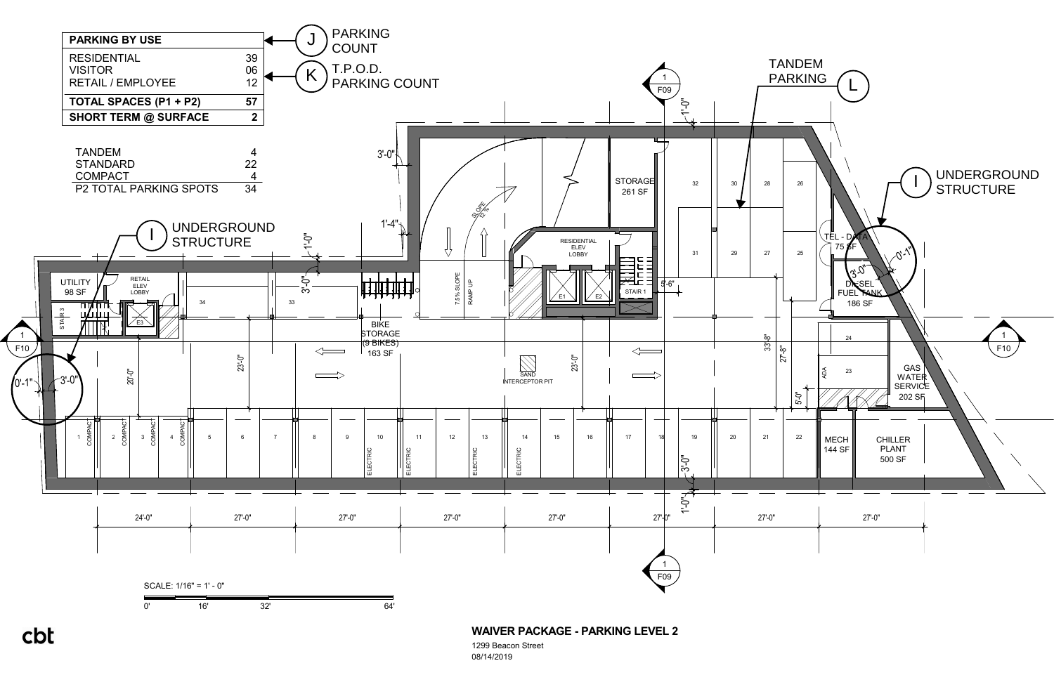1299 Beacon Street 08/14/2019



cbt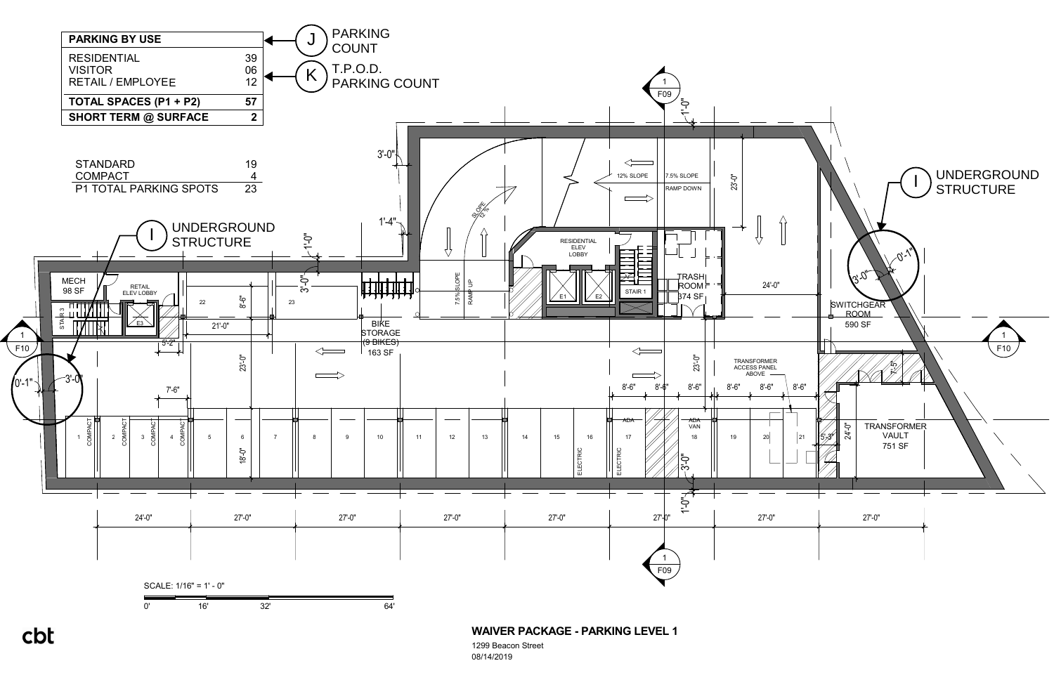1299 Beacon Street

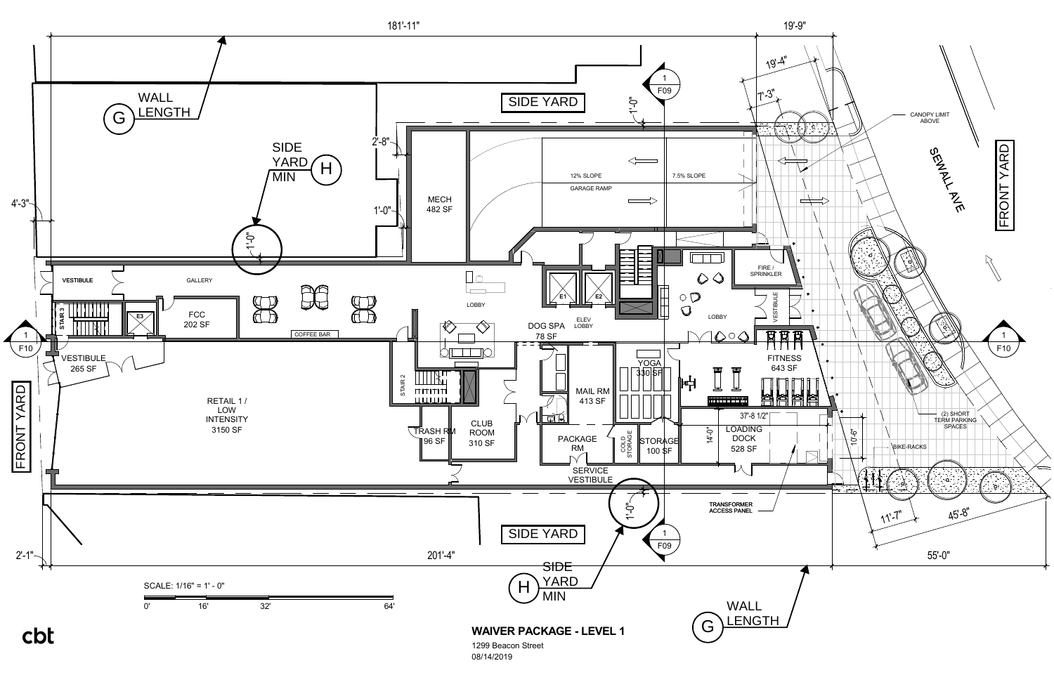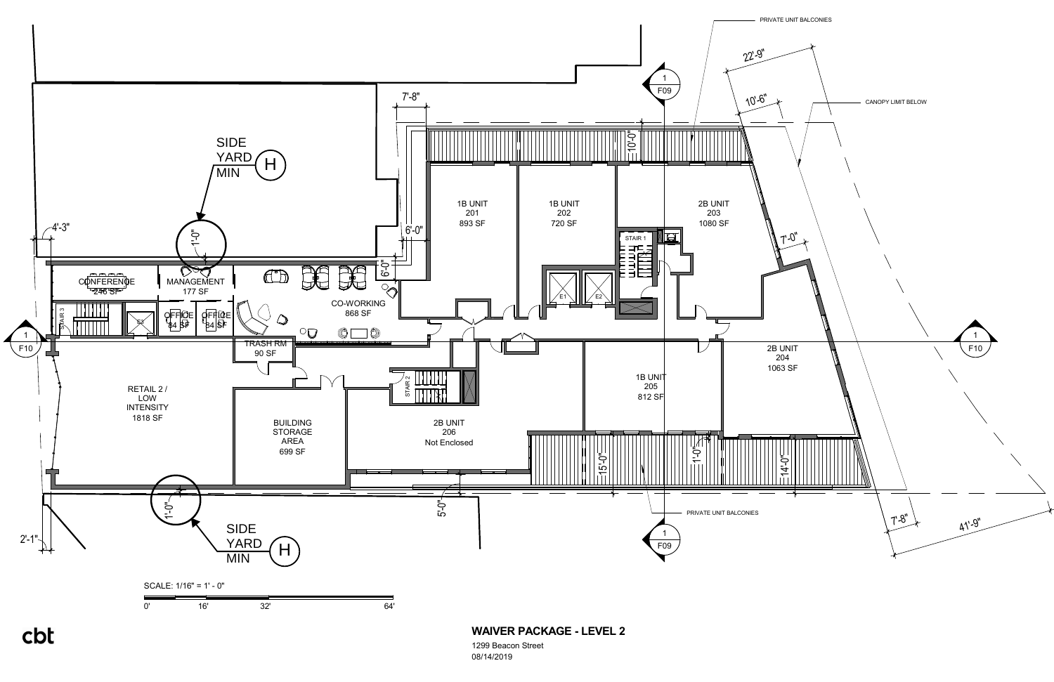

08/14/2019